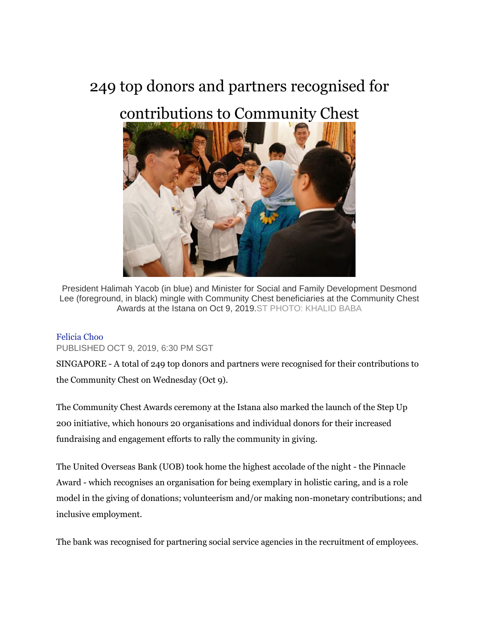## 249 top donors and partners recognised for

## contributions to Community Chest



President Halimah Yacob (in blue) and Minister for Social and Family Development Desmond Lee (foreground, in black) mingle with Community Chest beneficiaries at the Community Chest Awards at the Istana on Oct 9, 2019.ST PHOTO: KHALID BABA

## [Felicia Choo](https://www.straitstimes.com/authors/felicia-choo)

PUBLISHED OCT 9, 2019, 6:30 PM SGT

SINGAPORE - A total of 249 top donors and partners were recognised for their contributions to the Community Chest on Wednesday (Oct 9).

The Community Chest Awards ceremony at the Istana also marked the launch of the Step Up 200 initiative, which honours 20 organisations and individual donors for their increased fundraising and engagement efforts to rally the community in giving.

The United Overseas Bank (UOB) took home the highest accolade of the night - the Pinnacle Award - which recognises an organisation for being exemplary in holistic caring, and is a role model in the giving of donations; volunteerism and/or making non-monetary contributions; and inclusive employment.

The bank was recognised for partnering social service agencies in the recruitment of employees.